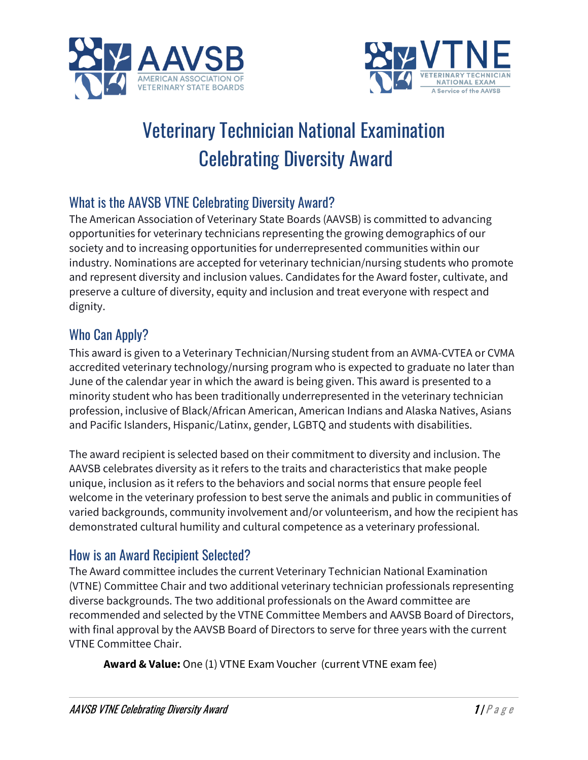



# Veterinary Technician National Examination Celebrating Diversity Award

# What is the AAVSB VTNE Celebrating Diversity Award?

The American Association of Veterinary State Boards (AAVSB) is committed to advancing opportunities for veterinary technicians representing the growing demographics of our society and to increasing opportunities for underrepresented communities within our industry. Nominations are accepted for veterinary technician/nursing students who promote and represent diversity and inclusion values. Candidates for the Award foster, cultivate, and preserve a culture of diversity, equity and inclusion and treat everyone with respect and dignity.

# Who Can Apply?

This award is given to a Veterinary Technician/Nursing student from an AVMA-CVTEA or CVMA accredited veterinary technology/nursing program who is expected to graduate no later than June of the calendar year in which the award is being given. This award is presented to a minority student who has been traditionally underrepresented in the veterinary technician profession, inclusive of Black/African American, American Indians and Alaska Natives, Asians and Pacific Islanders, Hispanic/Latinx, gender, LGBTQ and students with disabilities.

The award recipient is selected based on their commitment to diversity and inclusion. The AAVSB celebrates diversity as it refers to the traits and characteristics that make people unique, inclusion as it refers to the behaviors and social norms that ensure people feel welcome in the veterinary profession to best serve the animals and public in communities of varied backgrounds, community involvement and/or volunteerism, and how the recipient has demonstrated cultural humility and cultural competence as a veterinary professional.

### How is an Award Recipient Selected?

The Award committee includes the current Veterinary Technician National Examination (VTNE) Committee Chair and two additional veterinary technician professionals representing diverse backgrounds. The two additional professionals on the Award committee are recommended and selected by the VTNE Committee Members and AAVSB Board of Directors, with final approval by the AAVSB Board of Directors to serve for three years with the current VTNE Committee Chair.

**Award & Value:** One (1) VTNE Exam Voucher (current VTNE exam fee)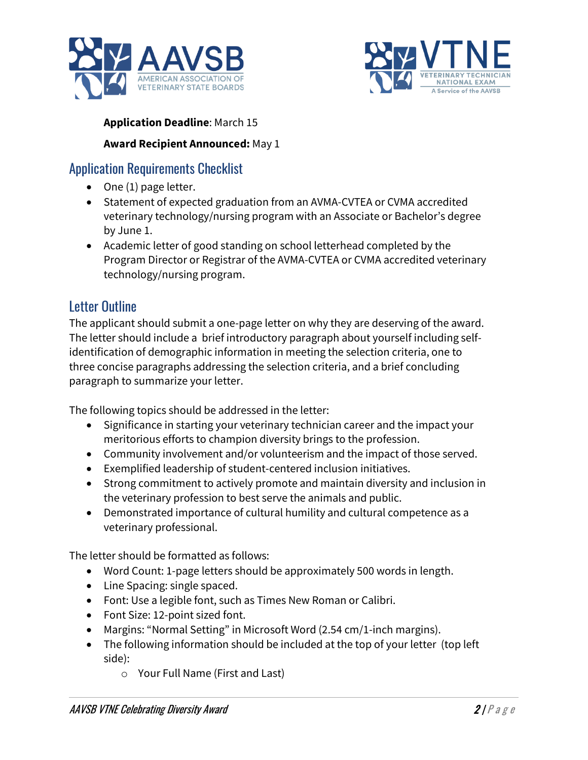



#### **Application Deadline**: March 15

#### **Award Recipient Announced:** May 1

## Application Requirements Checklist

- One (1) page letter.
- Statement of expected graduation from an AVMA-CVTEA or CVMA accredited veterinary technology/nursing program with an Associate or Bachelor's degree by June 1.
- Academic letter of good standing on school letterhead completed by the Program Director or Registrar of the AVMA-CVTEA or CVMA accredited veterinary technology/nursing program.

# Letter Outline

The applicant should submit a one-page letter on why they are deserving of the award. The letter should include a brief introductory paragraph about yourself including selfidentification of demographic information in meeting the selection criteria, one to three concise paragraphs addressing the selection criteria, and a brief concluding paragraph to summarize your letter.

The following topics should be addressed in the letter:

- Significance in starting your veterinary technician career and the impact your meritorious efforts to champion diversity brings to the profession.
- Community involvement and/or volunteerism and the impact of those served.
- Exemplified leadership of student-centered inclusion initiatives.
- Strong commitment to actively promote and maintain diversity and inclusion in the veterinary profession to best serve the animals and public.
- Demonstrated importance of cultural humility and cultural competence as a veterinary professional.

The letter should be formatted as follows:

- Word Count: 1-page letters should be approximately 500 words in length.
- Line Spacing: single spaced.
- Font: Use a legible font, such as Times New Roman or Calibri.
- Font Size: 12-point sized font.
- Margins: "Normal Setting" in Microsoft Word (2.54 cm/1-inch margins).
- The following information should be included at the top of your letter (top left side):
	- o Your Full Name (First and Last)